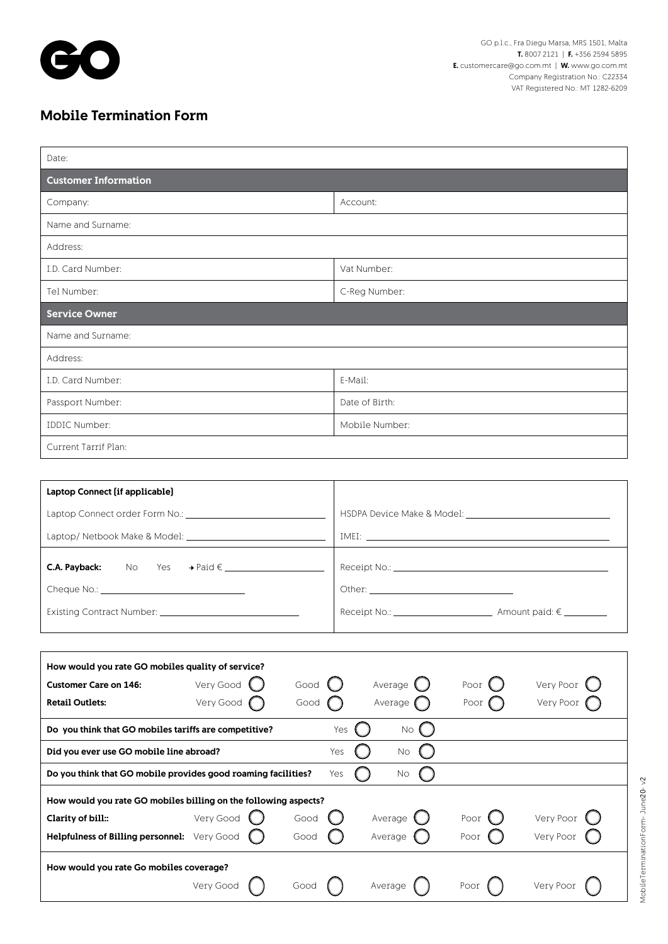

MobileTerminationForm- June20- v2

MobileTerminationForm-June20-v2

## Mobile Termination Form

| Date:                                                                                                    |                              |  |
|----------------------------------------------------------------------------------------------------------|------------------------------|--|
| <b>Customer Information</b>                                                                              |                              |  |
| Company:                                                                                                 | Account:                     |  |
| Name and Surname:                                                                                        |                              |  |
| Address:                                                                                                 |                              |  |
| I.D. Card Number:                                                                                        | Vat Number:                  |  |
| Tel Number:                                                                                              | C-Reg Number:                |  |
| <b>Service Owner</b>                                                                                     |                              |  |
| Name and Surname:                                                                                        |                              |  |
| Address:                                                                                                 |                              |  |
| I.D. Card Number:                                                                                        | E-Mail:                      |  |
| Passport Number:                                                                                         | Date of Birth:               |  |
| <b>IDDIC Number:</b>                                                                                     | Mobile Number:               |  |
| Current Tarrif Plan:                                                                                     |                              |  |
|                                                                                                          |                              |  |
| Laptop Connect (if applicable)                                                                           |                              |  |
|                                                                                                          |                              |  |
|                                                                                                          |                              |  |
|                                                                                                          |                              |  |
|                                                                                                          |                              |  |
|                                                                                                          |                              |  |
|                                                                                                          |                              |  |
|                                                                                                          |                              |  |
| How would you rate GO mobiles quality of service?<br>Very Good<br><b>Customer Care on 146:</b><br>Good   | Average<br>Very Poor<br>Poor |  |
| <b>Retail Outlets:</b><br>Very Good<br>Good                                                              | Average<br>Very Poor<br>Poor |  |
| Do you think that GO mobiles tariffs are competitive?<br>Yes<br><b>No</b>                                |                              |  |
| Did you ever use GO mobile line abroad?<br>No<br>Yes                                                     |                              |  |
| Do you think that GO mobile provides good roaming facilities?<br>Yes<br>No                               |                              |  |
|                                                                                                          |                              |  |
| How would you rate GO mobiles billing on the following aspects?<br>Very Good<br>Clarity of bill:<br>Good | Very Poor<br>Average<br>Poor |  |
| Helpfulness of Billing personnel: Very Good<br>Good                                                      | Very Poor<br>Average<br>Poor |  |
| How would you rate Go mobiles coverage?                                                                  |                              |  |
| Very Good<br>Good                                                                                        | Very Poor<br>Poor<br>Average |  |